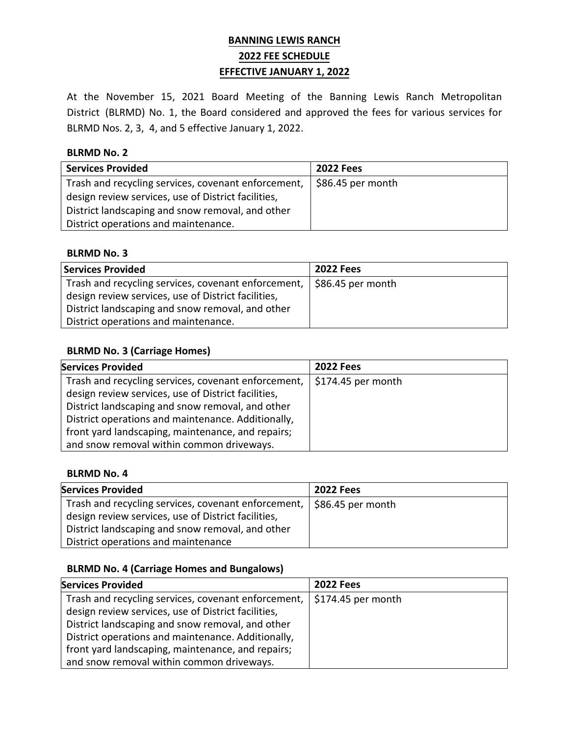# **BANNING LEWIS RANCH 2022 FEE SCHEDULE EFFECTIVE JANUARY 1, 2022**

At the November 15, 2021 Board Meeting of the Banning Lewis Ranch Metropolitan District (BLRMD) No. 1, the Board considered and approved the fees for various services for BLRMD Nos. 2, 3, 4, and 5 effective January 1, 2022.

### **BLRMD No. 2**

| <b>Services Provided</b>                            | <b>2022 Fees</b>  |
|-----------------------------------------------------|-------------------|
| Trash and recycling services, covenant enforcement, | \$86.45 per month |
| design review services, use of District facilities, |                   |
| District landscaping and snow removal, and other    |                   |
| District operations and maintenance.                |                   |

#### **BLRMD No. 3**

| <b>Services Provided</b>                            | <b>2022 Fees</b>  |
|-----------------------------------------------------|-------------------|
| Trash and recycling services, covenant enforcement, | \$86.45 per month |
| design review services, use of District facilities, |                   |
| District landscaping and snow removal, and other    |                   |
| District operations and maintenance.                |                   |

## **BLRMD No. 3 (Carriage Homes)**

| <b>Services Provided</b>                            | <b>2022 Fees</b>    |
|-----------------------------------------------------|---------------------|
| Trash and recycling services, covenant enforcement, | $$174.45$ per month |
| design review services, use of District facilities, |                     |
| District landscaping and snow removal, and other    |                     |
| District operations and maintenance. Additionally,  |                     |
| front yard landscaping, maintenance, and repairs;   |                     |
| and snow removal within common driveways.           |                     |

## **BLRMD No. 4**

| <b>Services Provided</b>                                                                                     | <b>2022 Fees</b>  |
|--------------------------------------------------------------------------------------------------------------|-------------------|
| Trash and recycling services, covenant enforcement,  <br>design review services, use of District facilities, | \$86.45 per month |
| District landscaping and snow removal, and other<br>District operations and maintenance                      |                   |

# **BLRMD No. 4 (Carriage Homes and Bungalows)**

| <b>Services Provided</b>                            | <b>2022 Fees</b>    |
|-----------------------------------------------------|---------------------|
| Trash and recycling services, covenant enforcement, | $$174.45$ per month |
| design review services, use of District facilities, |                     |
| District landscaping and snow removal, and other    |                     |
| District operations and maintenance. Additionally,  |                     |
| front yard landscaping, maintenance, and repairs;   |                     |
| and snow removal within common driveways.           |                     |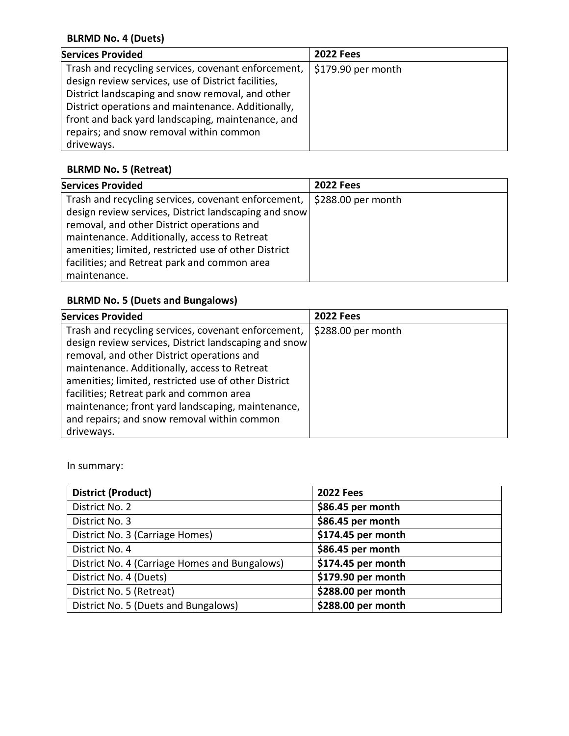# **BLRMD No. 4 (Duets)**

| <b>Services Provided</b>                                                                                                                                                                                                                                                                                                           | <b>2022 Fees</b>    |
|------------------------------------------------------------------------------------------------------------------------------------------------------------------------------------------------------------------------------------------------------------------------------------------------------------------------------------|---------------------|
| Trash and recycling services, covenant enforcement,<br>design review services, use of District facilities,<br>District landscaping and snow removal, and other<br>District operations and maintenance. Additionally,<br>front and back yard landscaping, maintenance, and<br>repairs; and snow removal within common<br>driveways. | $$179.90$ per month |

# **BLRMD No. 5 (Retreat)**

| <b>Services Provided</b>                                                                                                                                                                                                                                                                                                           | <b>2022 Fees</b>    |
|------------------------------------------------------------------------------------------------------------------------------------------------------------------------------------------------------------------------------------------------------------------------------------------------------------------------------------|---------------------|
| Trash and recycling services, covenant enforcement,<br>design review services, District landscaping and snow<br>removal, and other District operations and<br>maintenance. Additionally, access to Retreat<br>amenities; limited, restricted use of other District<br>facilities; and Retreat park and common area<br>maintenance. | $$288.00$ per month |

# **BLRMD No. 5 (Duets and Bungalows)**

| <b>Services Provided</b>                                                                                                                                                                                                                                                                                                                                                                                                         | <b>2022 Fees</b>    |
|----------------------------------------------------------------------------------------------------------------------------------------------------------------------------------------------------------------------------------------------------------------------------------------------------------------------------------------------------------------------------------------------------------------------------------|---------------------|
| Trash and recycling services, covenant enforcement,<br>design review services, District landscaping and snow<br>removal, and other District operations and<br>maintenance. Additionally, access to Retreat<br>amenities; limited, restricted use of other District<br>facilities; Retreat park and common area<br>maintenance; front yard landscaping, maintenance,<br>and repairs; and snow removal within common<br>driveways. | $$288.00$ per month |

In summary:

| <b>District (Product)</b>                     | <b>2022 Fees</b>   |
|-----------------------------------------------|--------------------|
| District No. 2                                | \$86.45 per month  |
| District No. 3                                | \$86.45 per month  |
| District No. 3 (Carriage Homes)               | \$174.45 per month |
| District No. 4                                | \$86.45 per month  |
| District No. 4 (Carriage Homes and Bungalows) | \$174.45 per month |
| District No. 4 (Duets)                        | \$179.90 per month |
| District No. 5 (Retreat)                      | \$288.00 per month |
| District No. 5 (Duets and Bungalows)          | \$288.00 per month |